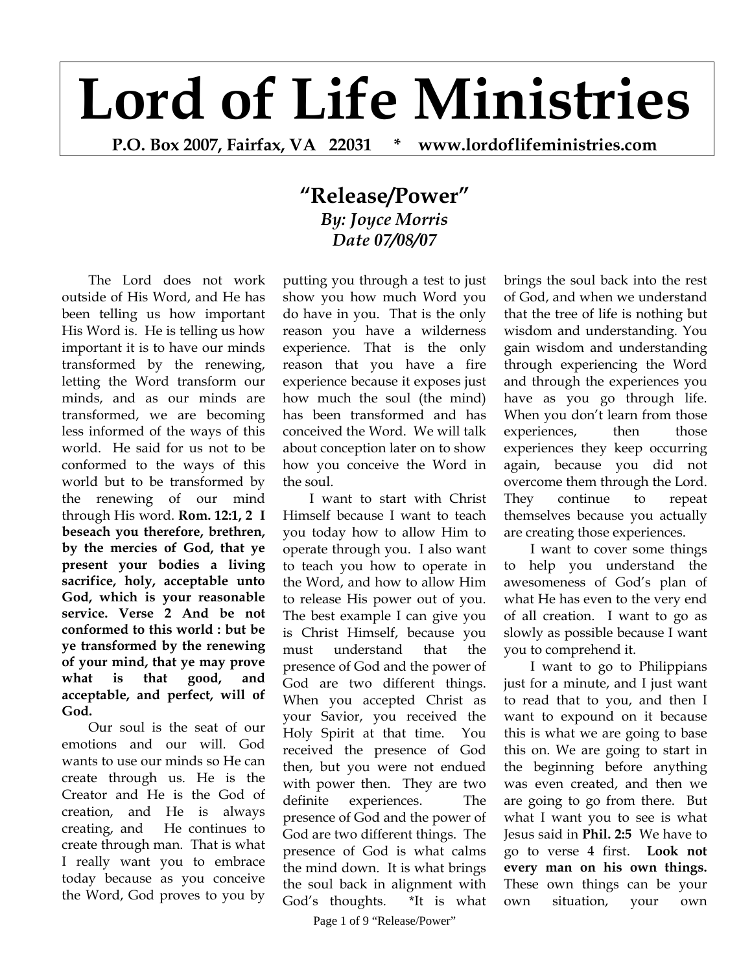## **Lord of Life Ministries**

**P.O. Box 2007, Fairfax, VA 22031 \* www.lordoflifeministries.com** 

## **"Release/Power"** *By: Joyce Morris Date 07/08/07*

The Lord does not work outside of His Word, and He has been telling us how important His Word is. He is telling us how important it is to have our minds transformed by the renewing, letting the Word transform our minds, and as our minds are transformed, we are becoming less informed of the ways of this world. He said for us not to be conformed to the ways of this world but to be transformed by the renewing of our mind through His word. **Rom. 12:1, 2 I beseach you therefore, brethren, by the mercies of God, that ye present your bodies a living sacrifice, holy, acceptable unto God, which is your reasonable service. Verse 2 And be not conformed to this world : but be ye transformed by the renewing of your mind, that ye may prove what is that good, and acceptable, and perfect, will of God.** 

Our soul is the seat of our emotions and our will. God wants to use our minds so He can create through us. He is the Creator and He is the God of creation, and He is always creating, and He continues to create through man. That is what I really want you to embrace today because as you conceive the Word, God proves to you by

putting you through a test to just show you how much Word you do have in you. That is the only reason you have a wilderness experience. That is the only reason that you have a fire experience because it exposes just how much the soul (the mind) has been transformed and has conceived the Word. We will talk about conception later on to show how you conceive the Word in the soul.

I want to start with Christ Himself because I want to teach you today how to allow Him to operate through you. I also want to teach you how to operate in the Word, and how to allow Him to release His power out of you. The best example I can give you is Christ Himself, because you must understand that the presence of God and the power of God are two different things. When you accepted Christ as your Savior, you received the Holy Spirit at that time. You received the presence of God then, but you were not endued with power then. They are two definite experiences. The presence of God and the power of God are two different things. The presence of God is what calms the mind down. It is what brings the soul back in alignment with God's thoughts. \*It is what

brings the soul back into the rest of God, and when we understand that the tree of life is nothing but wisdom and understanding. You gain wisdom and understanding through experiencing the Word and through the experiences you have as you go through life. When you don't learn from those experiences, then those experiences they keep occurring again, because you did not overcome them through the Lord. They continue to repeat themselves because you actually are creating those experiences.

I want to cover some things to help you understand the awesomeness of God's plan of what He has even to the very end of all creation. I want to go as slowly as possible because I want you to comprehend it.

I want to go to Philippians just for a minute, and I just want to read that to you, and then I want to expound on it because this is what we are going to base this on. We are going to start in the beginning before anything was even created, and then we are going to go from there. But what I want you to see is what Jesus said in **Phil. 2:5** We have to go to verse 4 first. **Look not every man on his own things.**  These own things can be your own situation, your own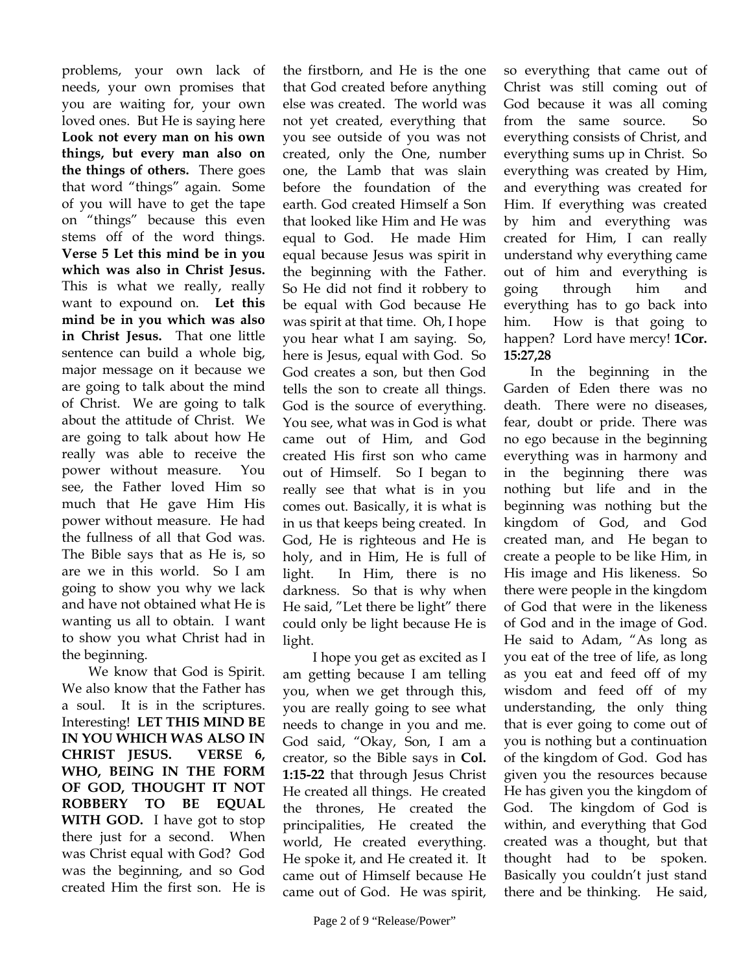problems, your own lack of needs, your own promises that you are waiting for, your own loved ones. But He is saying here **Look not every man on his own things, but every man also on the things of others.** There goes that word "things" again. Some of you will have to get the tape on "things" because this even stems off of the word things. **Verse 5 Let this mind be in you which was also in Christ Jesus.**  This is what we really, really want to expound on. **Let this mind be in you which was also in Christ Jesus.** That one little sentence can build a whole big, major message on it because we are going to talk about the mind of Christ. We are going to talk about the attitude of Christ. We are going to talk about how He really was able to receive the power without measure. You see, the Father loved Him so much that He gave Him His power without measure. He had the fullness of all that God was. The Bible says that as He is, so are we in this world. So I am going to show you why we lack and have not obtained what He is wanting us all to obtain. I want to show you what Christ had in the beginning.

We know that God is Spirit. We also know that the Father has a soul. It is in the scriptures. Interesting! **LET THIS MIND BE IN YOU WHICH WAS ALSO IN CHRIST JESUS. VERSE 6, WHO, BEING IN THE FORM OF GOD, THOUGHT IT NOT ROBBERY TO BE EQUAL WITH GOD.** I have got to stop there just for a second. When was Christ equal with God? God was the beginning, and so God created Him the first son. He is

the firstborn, and He is the one that God created before anything else was created. The world was not yet created, everything that you see outside of you was not created, only the One, number one, the Lamb that was slain before the foundation of the earth. God created Himself a Son that looked like Him and He was equal to God. He made Him equal because Jesus was spirit in the beginning with the Father. So He did not find it robbery to be equal with God because He was spirit at that time. Oh, I hope you hear what I am saying. So, here is Jesus, equal with God. So God creates a son, but then God tells the son to create all things. God is the source of everything. You see, what was in God is what came out of Him, and God created His first son who came out of Himself. So I began to really see that what is in you comes out. Basically, it is what is in us that keeps being created. In God, He is righteous and He is holy, and in Him, He is full of light. In Him, there is no darkness. So that is why when He said, "Let there be light" there could only be light because He is light.

 I hope you get as excited as I am getting because I am telling you, when we get through this, you are really going to see what needs to change in you and me. God said, "Okay, Son, I am a creator, so the Bible says in **Col. 1:15-22** that through Jesus Christ He created all things. He created the thrones, He created the principalities, He created the world, He created everything. He spoke it, and He created it. It came out of Himself because He came out of God. He was spirit,

so everything that came out of Christ was still coming out of God because it was all coming from the same source. So everything consists of Christ, and everything sums up in Christ. So everything was created by Him, and everything was created for Him. If everything was created by him and everything was created for Him, I can really understand why everything came out of him and everything is going through him and everything has to go back into him. How is that going to happen? Lord have mercy! **1Cor. 15:27,28** 

In the beginning in the Garden of Eden there was no death. There were no diseases, fear, doubt or pride. There was no ego because in the beginning everything was in harmony and in the beginning there was nothing but life and in the beginning was nothing but the kingdom of God, and God created man, and He began to create a people to be like Him, in His image and His likeness. So there were people in the kingdom of God that were in the likeness of God and in the image of God. He said to Adam, "As long as you eat of the tree of life, as long as you eat and feed off of my wisdom and feed off of my understanding, the only thing that is ever going to come out of you is nothing but a continuation of the kingdom of God. God has given you the resources because He has given you the kingdom of God. The kingdom of God is within, and everything that God created was a thought, but that thought had to be spoken. Basically you couldn't just stand there and be thinking. He said,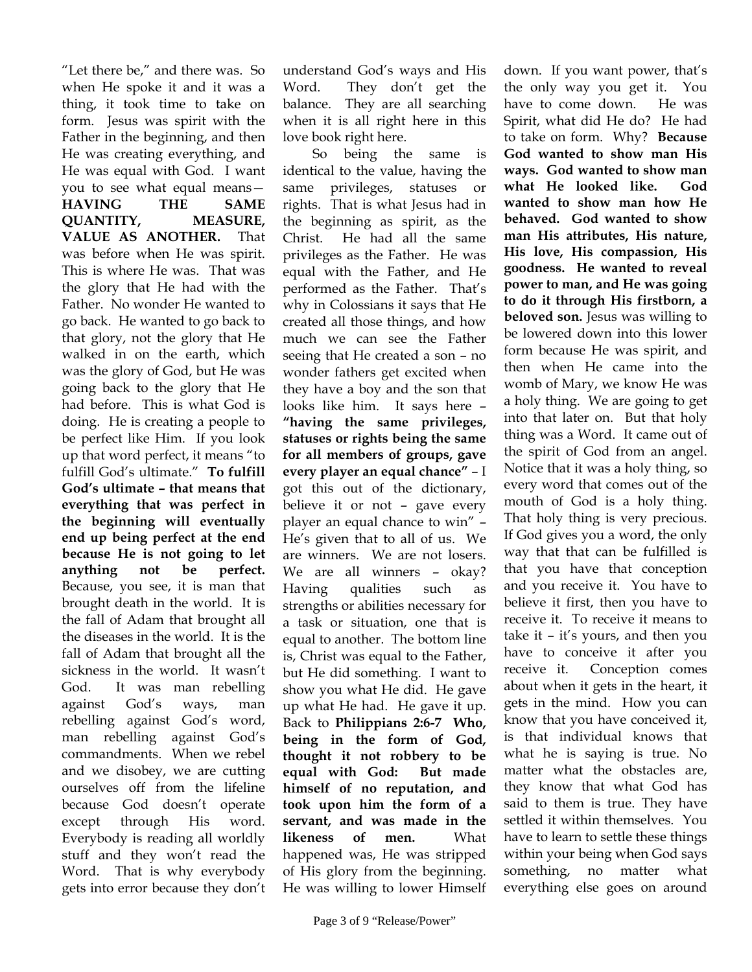"Let there be," and there was. So when He spoke it and it was a thing, it took time to take on form. Jesus was spirit with the Father in the beginning, and then He was creating everything, and He was equal with God. I want you to see what equal means— **HAVING THE SAME QUANTITY, MEASURE, VALUE AS ANOTHER.** That was before when He was spirit. This is where He was. That was the glory that He had with the Father. No wonder He wanted to go back. He wanted to go back to that glory, not the glory that He walked in on the earth, which was the glory of God, but He was going back to the glory that He had before. This is what God is doing. He is creating a people to be perfect like Him. If you look up that word perfect, it means "to fulfill God's ultimate." **To fulfill God's ultimate – that means that everything that was perfect in the beginning will eventually end up being perfect at the end because He is not going to let anything not be perfect.**  Because, you see, it is man that brought death in the world. It is the fall of Adam that brought all the diseases in the world. It is the fall of Adam that brought all the sickness in the world. It wasn't God. It was man rebelling against God's ways, man rebelling against God's word, man rebelling against God's commandments. When we rebel and we disobey, we are cutting ourselves off from the lifeline because God doesn't operate except through His word. Everybody is reading all worldly stuff and they won't read the Word. That is why everybody gets into error because they don't

understand God's ways and His Word. They don't get the balance. They are all searching when it is all right here in this love book right here.

 So being the same is identical to the value, having the same privileges, statuses or rights. That is what Jesus had in the beginning as spirit, as the Christ. He had all the same privileges as the Father. He was equal with the Father, and He performed as the Father. That's why in Colossians it says that He created all those things, and how much we can see the Father seeing that He created a son – no wonder fathers get excited when they have a boy and the son that looks like him. It says here – **"having the same privileges, statuses or rights being the same for all members of groups, gave every player an equal chance"** – I got this out of the dictionary, believe it or not – gave every player an equal chance to win" – He's given that to all of us. We are winners. We are not losers. We are all winners – okay? Having qualities such as strengths or abilities necessary for a task or situation, one that is equal to another. The bottom line is, Christ was equal to the Father, but He did something. I want to show you what He did. He gave up what He had. He gave it up. Back to **Philippians 2:6-7 Who, being in the form of God, thought it not robbery to be equal with God: But made himself of no reputation, and took upon him the form of a servant, and was made in the likeness of men.** What happened was, He was stripped of His glory from the beginning. He was willing to lower Himself down. If you want power, that's the only way you get it. You have to come down. He was Spirit, what did He do? He had to take on form. Why? **Because God wanted to show man His ways. God wanted to show man what He looked like. God wanted to show man how He behaved. God wanted to show man His attributes, His nature, His love, His compassion, His goodness. He wanted to reveal power to man, and He was going to do it through His firstborn, a beloved son.** Jesus was willing to be lowered down into this lower form because He was spirit, and then when He came into the womb of Mary, we know He was a holy thing. We are going to get into that later on. But that holy thing was a Word. It came out of the spirit of God from an angel. Notice that it was a holy thing, so every word that comes out of the mouth of God is a holy thing. That holy thing is very precious. If God gives you a word, the only way that that can be fulfilled is that you have that conception and you receive it. You have to believe it first, then you have to receive it. To receive it means to take it – it's yours, and then you have to conceive it after you receive it. Conception comes about when it gets in the heart, it gets in the mind. How you can know that you have conceived it, is that individual knows that what he is saying is true. No matter what the obstacles are, they know that what God has said to them is true. They have settled it within themselves. You have to learn to settle these things within your being when God says something, no matter what everything else goes on around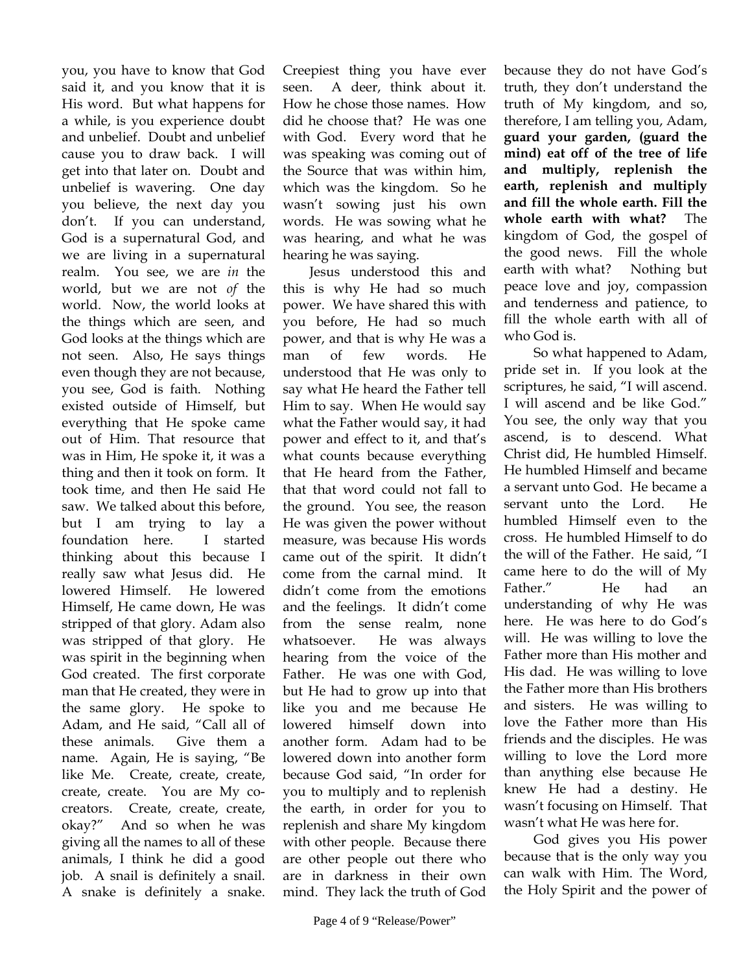you, you have to know that God said it, and you know that it is His word. But what happens for a while, is you experience doubt and unbelief. Doubt and unbelief cause you to draw back. I will get into that later on. Doubt and unbelief is wavering. One day you believe, the next day you don't. If you can understand, God is a supernatural God, and we are living in a supernatural realm. You see, we are *in* the world, but we are not *of* the world. Now, the world looks at the things which are seen, and God looks at the things which are not seen. Also, He says things even though they are not because, you see, God is faith. Nothing existed outside of Himself, but everything that He spoke came out of Him. That resource that was in Him, He spoke it, it was a thing and then it took on form. It took time, and then He said He saw. We talked about this before, but I am trying to lay a foundation here. I started thinking about this because I really saw what Jesus did. He lowered Himself. He lowered Himself, He came down, He was stripped of that glory. Adam also was stripped of that glory. He was spirit in the beginning when God created. The first corporate man that He created, they were in the same glory. He spoke to Adam, and He said, "Call all of these animals. Give them a name. Again, He is saying, "Be like Me. Create, create, create, create, create. You are My cocreators. Create, create, create, okay?" And so when he was giving all the names to all of these animals, I think he did a good job. A snail is definitely a snail. A snake is definitely a snake.

Creepiest thing you have ever seen. A deer, think about it. How he chose those names. How did he choose that? He was one with God. Every word that he was speaking was coming out of the Source that was within him, which was the kingdom. So he wasn't sowing just his own words. He was sowing what he was hearing, and what he was hearing he was saying.

Jesus understood this and this is why He had so much power. We have shared this with you before, He had so much power, and that is why He was a man of few words. He understood that He was only to say what He heard the Father tell Him to say. When He would say what the Father would say, it had power and effect to it, and that's what counts because everything that He heard from the Father, that that word could not fall to the ground. You see, the reason He was given the power without measure, was because His words came out of the spirit. It didn't come from the carnal mind. It didn't come from the emotions and the feelings. It didn't come from the sense realm, none whatsoever. He was always hearing from the voice of the Father. He was one with God, but He had to grow up into that like you and me because He lowered himself down into another form. Adam had to be lowered down into another form because God said, "In order for you to multiply and to replenish the earth, in order for you to replenish and share My kingdom with other people. Because there are other people out there who are in darkness in their own mind. They lack the truth of God

because they do not have God's truth, they don't understand the truth of My kingdom, and so, therefore, I am telling you, Adam, **guard your garden, (guard the mind) eat off of the tree of life and multiply, replenish the earth, replenish and multiply and fill the whole earth. Fill the whole earth with what?** The kingdom of God, the gospel of the good news. Fill the whole earth with what? Nothing but peace love and joy, compassion and tenderness and patience, to fill the whole earth with all of who God is.

 So what happened to Adam, pride set in. If you look at the scriptures, he said, "I will ascend. I will ascend and be like God." You see, the only way that you ascend, is to descend. What Christ did, He humbled Himself. He humbled Himself and became a servant unto God. He became a servant unto the Lord. He humbled Himself even to the cross. He humbled Himself to do the will of the Father. He said, "I came here to do the will of My Father." He had an understanding of why He was here. He was here to do God's will. He was willing to love the Father more than His mother and His dad. He was willing to love the Father more than His brothers and sisters. He was willing to love the Father more than His friends and the disciples. He was willing to love the Lord more than anything else because He knew He had a destiny. He wasn't focusing on Himself. That wasn't what He was here for.

 God gives you His power because that is the only way you can walk with Him. The Word, the Holy Spirit and the power of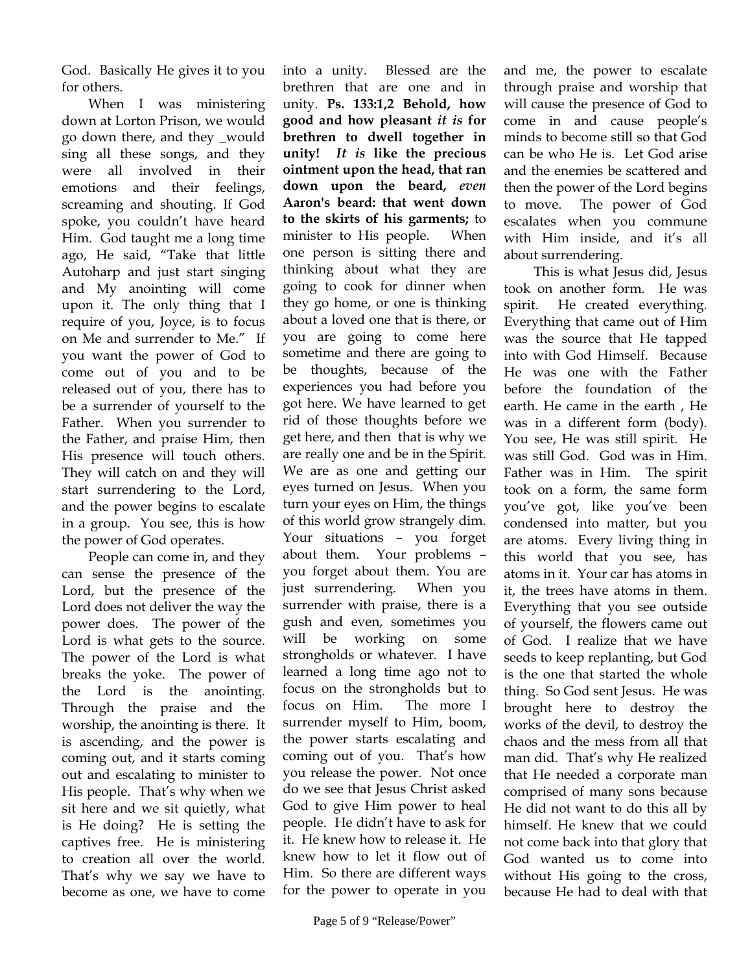God. Basically He gives it to you for others.

When I was ministering down at Lorton Prison, we would go down there, and they \_would sing all these songs, and they were all involved in their emotions and their feelings, screaming and shouting. If God spoke, you couldn't have heard Him. God taught me a long time ago, He said, "Take that little Autoharp and just start singing and My anointing will come upon it. The only thing that I require of you, Joyce, is to focus on Me and surrender to Me." If you want the power of God to come out of you and to be released out of you, there has to be a surrender of yourself to the Father. When you surrender to the Father, and praise Him, then His presence will touch others. They will catch on and they will start surrendering to the Lord, and the power begins to escalate in a group. You see, this is how the power of God operates.

 People can come in, and they can sense the presence of the Lord, but the presence of the Lord does not deliver the way the power does. The power of the Lord is what gets to the source. The power of the Lord is what breaks the yoke. The power of the Lord is the anointing. Through the praise and the worship, the anointing is there. It is ascending, and the power is coming out, and it starts coming out and escalating to minister to His people. That's why when we sit here and we sit quietly, what is He doing? He is setting the captives free. He is ministering to creation all over the world. That's why we say we have to become as one, we have to come

into a unity. Blessed are the brethren that are one and in unity. **Ps. 133:1,2 Behold, how good and how pleasant** *it is* **for brethren to dwell together in unity!** *It is* **like the precious ointment upon the head, that ran down upon the beard,** *even* **Aaron's beard: that went down to the skirts of his garments;** to minister to His people. When one person is sitting there and thinking about what they are going to cook for dinner when they go home, or one is thinking about a loved one that is there, or you are going to come here sometime and there are going to be thoughts, because of the experiences you had before you got here. We have learned to get rid of those thoughts before we get here, and then that is why we are really one and be in the Spirit. We are as one and getting our eyes turned on Jesus. When you turn your eyes on Him, the things of this world grow strangely dim. Your situations – you forget about them. Your problems – you forget about them. You are just surrendering. When you surrender with praise, there is a gush and even, sometimes you will be working on some strongholds or whatever. I have learned a long time ago not to focus on the strongholds but to focus on Him. The more I surrender myself to Him, boom, the power starts escalating and coming out of you. That's how you release the power. Not once do we see that Jesus Christ asked God to give Him power to heal people. He didn't have to ask for it. He knew how to release it. He knew how to let it flow out of Him. So there are different ways for the power to operate in you

and me, the power to escalate through praise and worship that will cause the presence of God to come in and cause people's minds to become still so that God can be who He is. Let God arise and the enemies be scattered and then the power of the Lord begins to move. The power of God escalates when you commune with Him inside, and it's all about surrendering.

 This is what Jesus did, Jesus took on another form. He was spirit. He created everything. Everything that came out of Him was the source that He tapped into with God Himself. Because He was one with the Father before the foundation of the earth. He came in the earth , He was in a different form (body). You see, He was still spirit. He was still God. God was in Him. Father was in Him. The spirit took on a form, the same form you've got, like you've been condensed into matter, but you are atoms. Every living thing in this world that you see, has atoms in it. Your car has atoms in it, the trees have atoms in them. Everything that you see outside of yourself, the flowers came out of God. I realize that we have seeds to keep replanting, but God is the one that started the whole thing. So God sent Jesus. He was brought here to destroy the works of the devil, to destroy the chaos and the mess from all that man did. That's why He realized that He needed a corporate man comprised of many sons because He did not want to do this all by himself. He knew that we could not come back into that glory that God wanted us to come into without His going to the cross, because He had to deal with that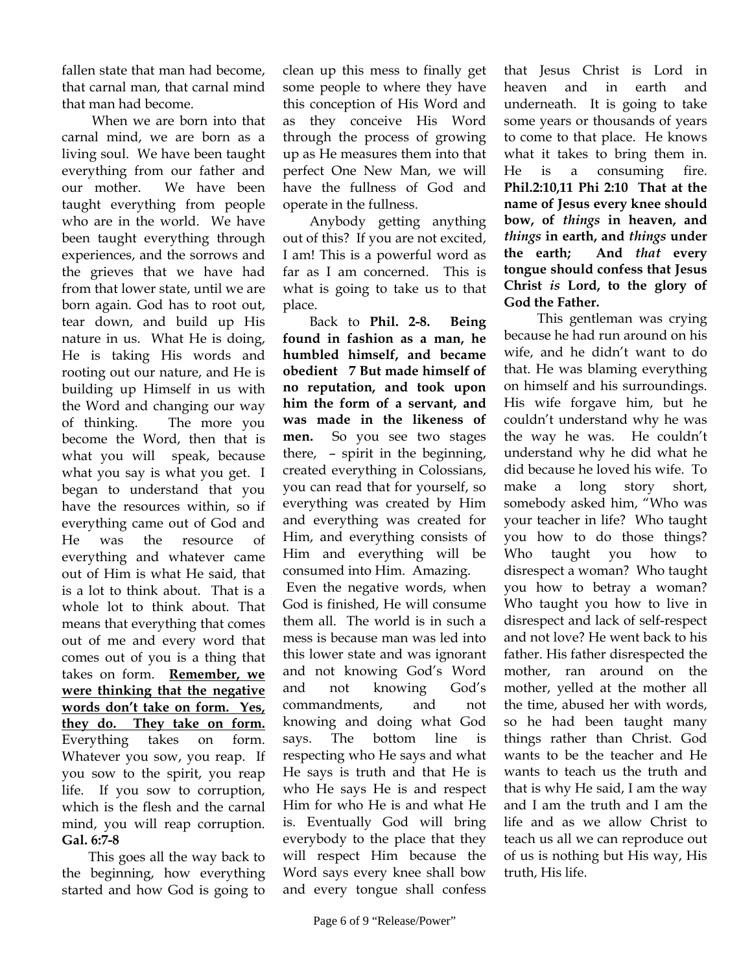fallen state that man had become, that carnal man, that carnal mind that man had become.

 When we are born into that carnal mind, we are born as a living soul. We have been taught everything from our father and our mother. We have been taught everything from people who are in the world. We have been taught everything through experiences, and the sorrows and the grieves that we have had from that lower state, until we are born again. God has to root out, tear down, and build up His nature in us. What He is doing, He is taking His words and rooting out our nature, and He is building up Himself in us with the Word and changing our way of thinking. The more you become the Word, then that is what you will speak, because what you say is what you get. I began to understand that you have the resources within, so if everything came out of God and He was the resource of everything and whatever came out of Him is what He said, that is a lot to think about. That is a whole lot to think about. That means that everything that comes out of me and every word that comes out of you is a thing that takes on form. **Remember, we were thinking that the negative words don't take on form. Yes, they do. They take on form.** Everything takes on form. Whatever you sow, you reap. If you sow to the spirit, you reap life. If you sow to corruption, which is the flesh and the carnal mind, you will reap corruption. **Gal. 6:7-8** 

This goes all the way back to the beginning, how everything started and how God is going to

clean up this mess to finally get some people to where they have this conception of His Word and as they conceive His Word through the process of growing up as He measures them into that perfect One New Man, we will have the fullness of God and operate in the fullness.

Anybody getting anything out of this? If you are not excited, I am! This is a powerful word as far as I am concerned. This is what is going to take us to that place.

Back to **Phil. 2-8. Being found in fashion as a man, he humbled himself, and became obedient 7 But made himself of no reputation, and took upon him the form of a servant, and was made in the likeness of men.** So you see two stages there, – spirit in the beginning, created everything in Colossians, you can read that for yourself, so everything was created by Him and everything was created for Him, and everything consists of Him and everything will be consumed into Him. Amazing. Even the negative words, when God is finished, He will consume them all. The world is in such a mess is because man was led into

this lower state and was ignorant and not knowing God's Word and not knowing God's commandments, and not knowing and doing what God says. The bottom line is respecting who He says and what He says is truth and that He is who He says He is and respect Him for who He is and what He is. Eventually God will bring everybody to the place that they will respect Him because the Word says every knee shall bow and every tongue shall confess

that Jesus Christ is Lord in heaven and in earth and underneath. It is going to take some years or thousands of years to come to that place. He knows what it takes to bring them in. He is a consuming fire. **Phil.2:10,11 Phi 2:10 That at the name of Jesus every knee should bow, of** *things* **in heaven, and**  *things* **in earth, and** *things* **under the earth; And** *that* **every tongue should confess that Jesus Christ** *is* **Lord, to the glory of God the Father.** 

 This gentleman was crying because he had run around on his wife, and he didn't want to do that. He was blaming everything on himself and his surroundings. His wife forgave him, but he couldn't understand why he was the way he was. He couldn't understand why he did what he did because he loved his wife. To make a long story short, somebody asked him, "Who was your teacher in life? Who taught you how to do those things? Who taught you how to disrespect a woman? Who taught you how to betray a woman? Who taught you how to live in disrespect and lack of self-respect and not love? He went back to his father. His father disrespected the mother, ran around on the mother, yelled at the mother all the time, abused her with words, so he had been taught many things rather than Christ. God wants to be the teacher and He wants to teach us the truth and that is why He said, I am the way and I am the truth and I am the life and as we allow Christ to teach us all we can reproduce out of us is nothing but His way, His truth, His life.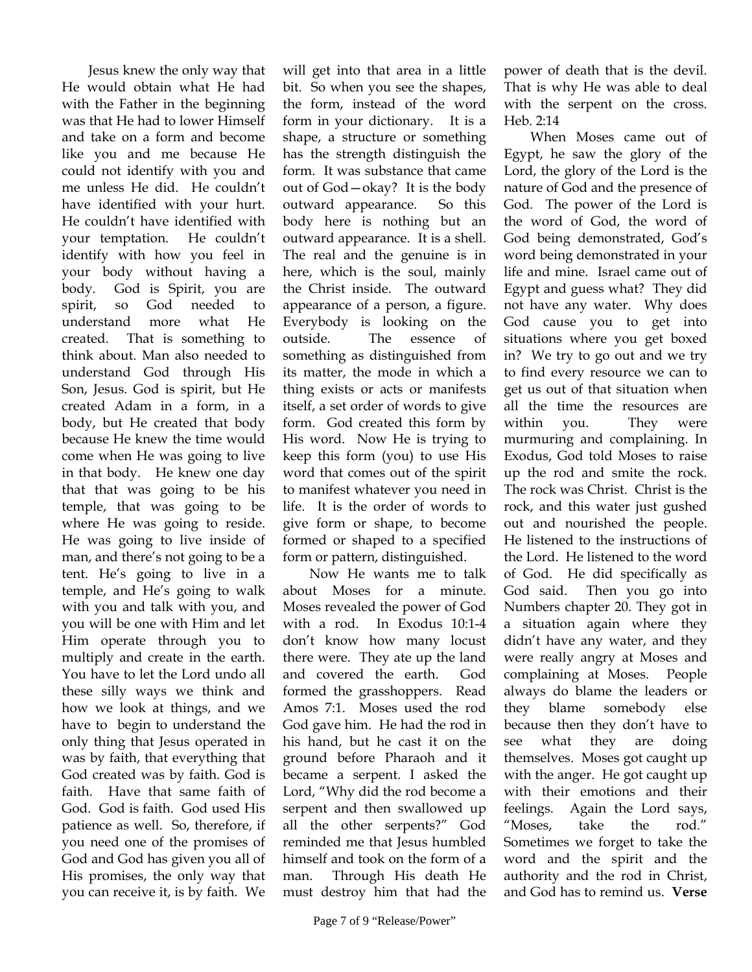Jesus knew the only way that He would obtain what He had with the Father in the beginning was that He had to lower Himself and take on a form and become like you and me because He could not identify with you and me unless He did. He couldn't have identified with your hurt. He couldn't have identified with your temptation. He couldn't identify with how you feel in your body without having a body. God is Spirit, you are spirit, so God needed to understand more what He created. That is something to think about. Man also needed to understand God through His Son, Jesus. God is spirit, but He created Adam in a form, in a body, but He created that body because He knew the time would come when He was going to live in that body. He knew one day that that was going to be his temple, that was going to be where He was going to reside. He was going to live inside of man, and there's not going to be a tent. He's going to live in a temple, and He's going to walk with you and talk with you, and you will be one with Him and let Him operate through you to multiply and create in the earth. You have to let the Lord undo all these silly ways we think and how we look at things, and we have to begin to understand the only thing that Jesus operated in was by faith, that everything that God created was by faith. God is faith. Have that same faith of God. God is faith. God used His patience as well. So, therefore, if you need one of the promises of God and God has given you all of His promises, the only way that you can receive it, is by faith. We

will get into that area in a little bit. So when you see the shapes, the form, instead of the word form in your dictionary. It is a shape, a structure or something has the strength distinguish the form. It was substance that came out of God—okay? It is the body outward appearance. So this body here is nothing but an outward appearance. It is a shell. The real and the genuine is in here, which is the soul, mainly the Christ inside. The outward appearance of a person, a figure. Everybody is looking on the outside. The essence of something as distinguished from its matter, the mode in which a thing exists or acts or manifests itself, a set order of words to give form. God created this form by His word. Now He is trying to keep this form (you) to use His word that comes out of the spirit to manifest whatever you need in life. It is the order of words to give form or shape, to become formed or shaped to a specified form or pattern, distinguished. Now He wants me to talk

about Moses for a minute. Moses revealed the power of God with a rod. In Exodus 10:1-4 don't know how many locust there were. They ate up the land and covered the earth. God formed the grasshoppers. Read Amos 7:1. Moses used the rod God gave him. He had the rod in his hand, but he cast it on the ground before Pharaoh and it became a serpent. I asked the Lord, "Why did the rod become a serpent and then swallowed up all the other serpents?" God reminded me that Jesus humbled himself and took on the form of a man. Through His death He must destroy him that had the

When Moses came out of Egypt, he saw the glory of the Lord, the glory of the Lord is the nature of God and the presence of God. The power of the Lord is the word of God, the word of God being demonstrated, God's word being demonstrated in your life and mine. Israel came out of Egypt and guess what? They did not have any water. Why does God cause you to get into situations where you get boxed in? We try to go out and we try to find every resource we can to get us out of that situation when all the time the resources are within you. They were murmuring and complaining. In Exodus, God told Moses to raise up the rod and smite the rock. The rock was Christ. Christ is the rock, and this water just gushed out and nourished the people. He listened to the instructions of the Lord. He listened to the word of God. He did specifically as God said. Then you go into Numbers chapter 20. They got in a situation again where they didn't have any water, and they were really angry at Moses and complaining at Moses. People always do blame the leaders or they blame somebody else because then they don't have to see what they are doing themselves. Moses got caught up with the anger. He got caught up with their emotions and their feelings. Again the Lord says, "Moses, take the rod." Sometimes we forget to take the word and the spirit and the authority and the rod in Christ, and God has to remind us. **Verse**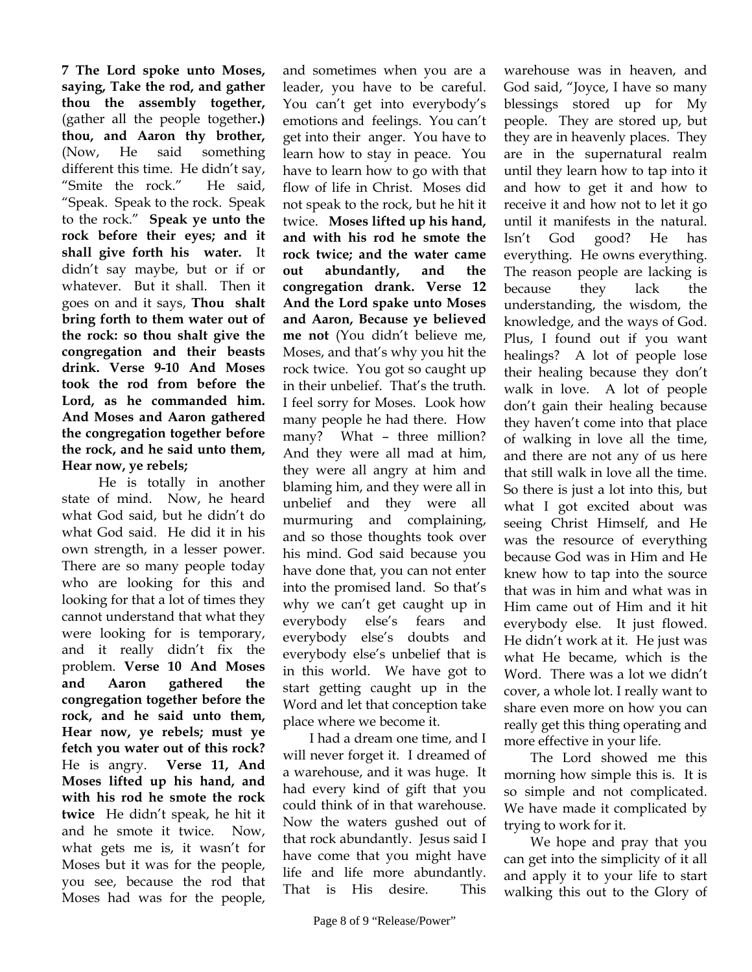**7 The Lord spoke unto Moses, saying, Take the rod, and gather thou the assembly together,**  (gather all the people together**.) thou, and Aaron thy brother,**  (Now, He said something different this time. He didn't say, "Smite the rock." He said, "Speak. Speak to the rock. Speak to the rock." **Speak ye unto the rock before their eyes; and it shall give forth his water.** It didn't say maybe, but or if or whatever. But it shall. Then it goes on and it says, **Thou shalt bring forth to them water out of the rock: so thou shalt give the congregation and their beasts drink. Verse 9-10 And Moses took the rod from before the Lord, as he commanded him. And Moses and Aaron gathered the congregation together before the rock, and he said unto them, Hear now, ye rebels;** 

 He is totally in another state of mind. Now, he heard what God said, but he didn't do what God said. He did it in his own strength, in a lesser power. There are so many people today who are looking for this and looking for that a lot of times they cannot understand that what they were looking for is temporary, and it really didn't fix the problem. **Verse 10 And Moses and Aaron gathered the congregation together before the rock, and he said unto them, Hear now, ye rebels; must ye fetch you water out of this rock?**  He is angry. **Verse 11, And Moses lifted up his hand, and with his rod he smote the rock twice** He didn't speak, he hit it and he smote it twice. Now, what gets me is, it wasn't for Moses but it was for the people, you see, because the rod that Moses had was for the people,

and sometimes when you are a leader, you have to be careful. You can't get into everybody's emotions and feelings. You can't get into their anger. You have to learn how to stay in peace. You have to learn how to go with that flow of life in Christ. Moses did not speak to the rock, but he hit it twice. **Moses lifted up his hand, and with his rod he smote the rock twice; and the water came out abundantly, and the congregation drank. Verse 12 And the Lord spake unto Moses and Aaron, Because ye believed me not** (You didn't believe me, Moses, and that's why you hit the rock twice. You got so caught up in their unbelief. That's the truth. I feel sorry for Moses. Look how many people he had there. How many? What – three million? And they were all mad at him, they were all angry at him and blaming him, and they were all in unbelief and they were all murmuring and complaining, and so those thoughts took over his mind. God said because you have done that, you can not enter into the promised land. So that's why we can't get caught up in everybody else's fears and everybody else's doubts and everybody else's unbelief that is in this world. We have got to start getting caught up in the Word and let that conception take place where we become it.

I had a dream one time, and I will never forget it. I dreamed of a warehouse, and it was huge. It had every kind of gift that you could think of in that warehouse. Now the waters gushed out of that rock abundantly. Jesus said I have come that you might have life and life more abundantly. That is His desire. This

warehouse was in heaven, and God said, "Joyce, I have so many blessings stored up for My people. They are stored up, but they are in heavenly places. They are in the supernatural realm until they learn how to tap into it and how to get it and how to receive it and how not to let it go until it manifests in the natural. Isn't God good? He has everything. He owns everything. The reason people are lacking is because they lack the understanding, the wisdom, the knowledge, and the ways of God. Plus, I found out if you want healings? A lot of people lose their healing because they don't walk in love. A lot of people don't gain their healing because they haven't come into that place of walking in love all the time, and there are not any of us here that still walk in love all the time. So there is just a lot into this, but what I got excited about was seeing Christ Himself, and He was the resource of everything because God was in Him and He knew how to tap into the source that was in him and what was in Him came out of Him and it hit everybody else. It just flowed. He didn't work at it. He just was what He became, which is the Word. There was a lot we didn't cover, a whole lot. I really want to share even more on how you can really get this thing operating and more effective in your life.

The Lord showed me this morning how simple this is. It is so simple and not complicated. We have made it complicated by trying to work for it.

We hope and pray that you can get into the simplicity of it all and apply it to your life to start walking this out to the Glory of